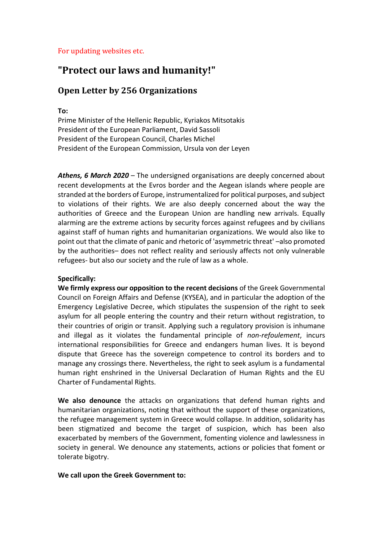## For updating websites etc.

# **"Protect our laws and humanity!"**

# **Open Letter by 256 Organizations**

**To:** 

Prime Minister of the Hellenic Republic, Kyriakos Mitsotakis President of the European Parliament, David Sassoli President of the European Council, Charles Michel President of the European Commission, Ursula von der Leyen

*Athens, 6 March 2020* – The undersigned organisations are deeply concerned about recent developments at the Evros border and the Aegean islands where people are stranded at the borders of Europe, instrumentalized for political purposes, and subject to violations of their rights. We are also deeply concerned about the way the authorities of Greece and the European Union are handling new arrivals. Equally alarming are the extreme actions by security forces against refugees and by civilians against staff of human rights and humanitarian organizations. We would also like to point out that the climate of panic and rhetoric of 'asymmetric threat' –also promoted by the authorities– does not reflect reality and seriously affects not only vulnerable refugees- but also our society and the rule of law as a whole.

### **Specifically:**

**We firmly express our opposition to the recent decisions** of the Greek Governmental Council on Foreign Affairs and Defense (KYSEA), and in particular the adoption of the Emergency Legislative Decree, which stipulates the suspension of the right to seek asylum for all people entering the country and their return without registration, to their countries of origin or transit. Applying such a regulatory provision is inhumane and illegal as it violates the fundamental principle of *non-refoulement*, incurs international responsibilities for Greece and endangers human lives. It is beyond dispute that Greece has the sovereign competence to control its borders and to manage any crossings there. Nevertheless, the right to seek asylum is a fundamental human right enshrined in the Universal Declaration of Human Rights and the EU Charter of Fundamental Rights.

**We also denounce** the attacks on organizations that defend human rights and humanitarian organizations, noting that without the support of these organizations, the refugee management system in Greece would collapse. In addition, solidarity has been stigmatized and become the target of suspicion, which has been also exacerbated by members of the Government, fomenting violence and lawlessness in society in general. We denounce any statements, actions or policies that foment or tolerate bigotry.

#### **We call upon the Greek Government to:**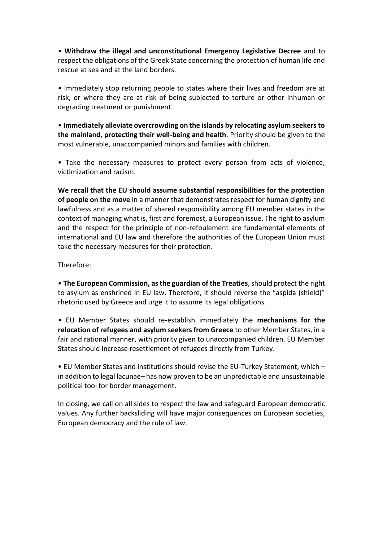• **Withdraw the illegal and unconstitutional Emergency Legislative Decree** and to respect the obligations of the Greek State concerning the protection of human life and rescue at sea and at the land borders.

• Immediately stop returning people to states where their lives and freedom are at risk, or where they are at risk of being subjected to torture or other inhuman or degrading treatment or punishment.

• **Immediately alleviate overcrowding on the islands by relocating asylum seekers to the mainland, protecting their well-being and health**. Priority should be given to the most vulnerable, unaccompanied minors and families with children.

• Take the necessary measures to protect every person from acts of violence, victimization and racism.

**We recall that the EU should assume substantial responsibilities for the protection of people on the move** in a manner that demonstrates respect for human dignity and lawfulness and as a matter of shared responsibility among EU member states in the context of managing what is, first and foremost, a European issue. The right to asylum and the respect for the principle of non-refoulement are fundamental elements of international and EU law and therefore the authorities of the European Union must take the necessary measures for their protection.

Therefore:

• **The European Commission, as the guardian of the Treaties**, should protect the right to asylum as enshrined in EU law. Therefore, it should reverse the "aspida (shield)" rhetoric used by Greece and urge it to assume its legal obligations.

• EU Member States should re-establish immediately the **mechanisms for the relocation of refugees and asylum seekers from Greece** to other Member States, in a fair and rational manner, with priority given to unaccompanied children. EU Member States should increase resettlement of refugees directly from Turkey.

• EU Member States and institutions should revise the EU-Turkey Statement, which – in addition to legal lacunae– has now proven to be an unpredictable and unsustainable political tool for border management.

In closing, we call on all sides to respect the law and safeguard European democratic values. Any further backsliding will have major consequences on European societies, European democracy and the rule of law.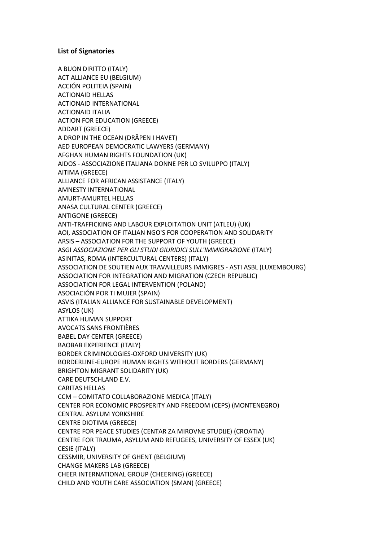#### **List of Signatories**

A BUON DIRITTO (ITALY) ACT ALLIANCE EU (BELGIUM) ACCIÓN POLITEIA (SPAIN) ACTIONAID HELLAS ACTIONAID INTERNATIONAL ACTIONAID ITALIA ACTION FOR EDUCATION (GREECE) ADDART (GREECE) A DROP IN THE OCEAN (DRÅPEN I HAVET) AED EUROPEAN DEMOCRATIC LAWYERS (GERMANY) AFGHAN HUMAN RIGHTS FOUNDATION (UK) AIDOS - ASSOCIAZIONE ITALIANA DONNE PER LO SVILUPPO (ITALY) ΑΙΤΙΜΑ (GREECE) ALLIANCE FOR AFRICAN ASSISTANCE (ITALY) AMNESTY INTERNATIONAL AMURT-AMURTEL HELLAS ANASA CULTURAL CENTER (GREECE) ANTIGONE (GREECE) ANTI-TRAFFICKING AND LABOUR EXPLOITATION UNIT (ATLEU) (UK) AOI, ASSOCIATION OF ITALIAN NGO'S FOR COOPERATION AND SOLIDARITY ARSIS – ASSOCIATION FOR THE SUPPORT OF YOUTH (GREECE) ASGI *ASSOCIAZIONE PER GLI STUDI GIURIDICI SULL'IMMIGRAZIONE* (ITALY) ASINITAS, ROMA (INTERCULTURAL CENTERS) (ITALY) ASSOCIATION DE SOUTIEN AUX TRAVAILLEURS IMMIGRES - ASTI ASBL (LUXEMBOURG) ASSOCIATION FOR INTEGRATION AND MIGRATION (CZECH REPUBLIC) ASSOCIATION FOR LEGAL INTERVENTION (POLAND) ASOCIACIÓN POR TI MUJER (SPAIN) ASVIS (ITALIAN ALLIANCE FOR SUSTAINABLE DEVELOPMENT) ASYLOS (UK) ATTIKA HUMAN SUPPORT AVOCATS SANS FRONTIÈRES BABEL DAY CENTER (GREECE) BAOBAB EXPERIENCE (ITALY) BORDER CRIMINOLOGIES-OXFORD UNIVERSITY (UK) BORDERLINE-EUROPE HUMAN RIGHTS WITHOUT BORDERS (GERMANY) BRIGHTON MIGRANT SOLIDARITY (UK) CARE DEUTSCHLAND E.V. CARITAS HELLAS CCM – COMITATO COLLABORAZIONE MEDICA (ITALY) CENTER FOR ECONOMIC PROSPERITY AND FREEDOM (CEPS) (MONTENEGRO) CENTRAL ASYLUM YORKSHIRE CENTRE DIOTIMA (GREECE) CENTRE FOR PEACE STUDIES (CENTAR ZA MIROVNE STUDIJE) (CROATIA) CENTRE FOR TRAUMA, ASYLUM AND REFUGEES, UNIVERSITY OF ESSEX (UK) CESIE (ITALY) CESSMIR, UNIVERSITY OF GHENT (BELGIUM) CHANGE MAKERS LAB (GREECE) CHEER INTERNATIONAL GROUP (CHEERING) (GREECE) CHILD AND YOUTH CARE ASSOCIATION (SMAN) (GREECE)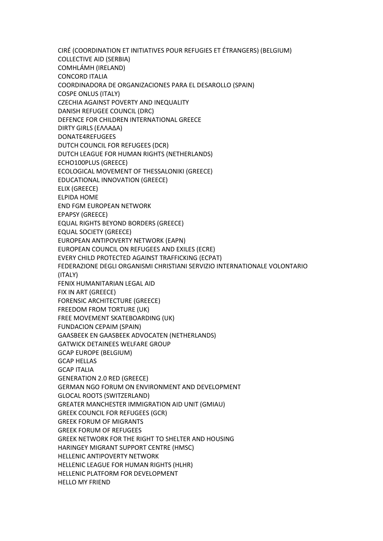CIRÉ (COORDINATION ET INITIATIVES POUR REFUGIES ET ÉTRANGERS) (BELGIUM) COLLECTIVE AID (SERBIA) COMHLÁMH (IRELAND) CONCORD ITALIA COORDINADORA DE ORGANIZACIONES PARA EL DESAROLLO (SPAIN) COSPE ONLUS (ITALY) CZECHIA AGAINST POVERTY AND INEQUALITY DANISH REFUGEE COUNCIL (DRC) DEFENCE FOR CHILDREN INTERNATIONAL GREECE DIRTY GIRLS (ΕΛΛΑΔΑ) DONATE4REFUGEES DUTCH COUNCIL FOR REFUGEES (DCR) DUTCH LEAGUE FOR HUMAN RIGHTS (NETHERLANDS) ECHO100PLUS (GREECE) ECOLOGICAL MOVEMENT OF THESSALONIKI (GREECE) EDUCATIONAL INNOVATION (GREECE) ELIX (GREECE) ELPIDA HOME END FGM EUROPEAN NETWORK EPAPSY (GREECE) EQUAL RIGHTS BEYOND BORDERS (GREECE) EQUAL SOCIETY (GREECE) EUROPEAN ANTIPOVERTY NETWORK (EAPN) EUROPEAN COUNCIL ON REFUGEES AND EXILES (ECRE) EVERY CHILD PROTECTED AGAINST TRAFFICKING (ECPAT) FEDERAZIONE DEGLI ORGANISMI CHRISTIANI SERVIZIO INTERNATIONALE VOLONTARIO (ITALY) FENIX HUMANITARIAN LEGAL AID FIX IN ART (GREECE) FORENSIC ARCHITECTURE (GREECE) FREEDOM FROM TORTURE (UK) FREE MOVEMENT SKATEBOARDING (UK) FUNDACION CEPAIM (SPAIN) GAASBEEK EN GAASBEEK ADVOCATEN (NETHERLANDS) GATWICK DETAINEES WELFARE GROUP GCAP EUROPE (BELGIUM) GCAP HELLAS GCAP ITALIA GENERATION 2.0 RED (GREECE) GERMAN NGO FORUM ON ENVIRONMENT AND DEVELOPMENT GLOCAL ROOTS (SWITZERLAND) GREATER MANCHESTER IMMIGRATION AID UNIT (GMIAU) GREEK COUNCIL FOR REFUGEES (GCR) GREEK FORUM OF MIGRANTS GREEK FORUM OF REFUGEES GREEK NETWORK FOR THE RIGHT TO SHELTER AND HOUSING HARINGEY MIGRANT SUPPORT CENTRE (HMSC) HELLENIC ANTIPOVERTY NETWORK HELLENIC LEAGUE FOR HUMAN RIGHTS (HLHR) HELLENIC PLATFORM FOR DEVELOPMENT HELLO MY FRIEND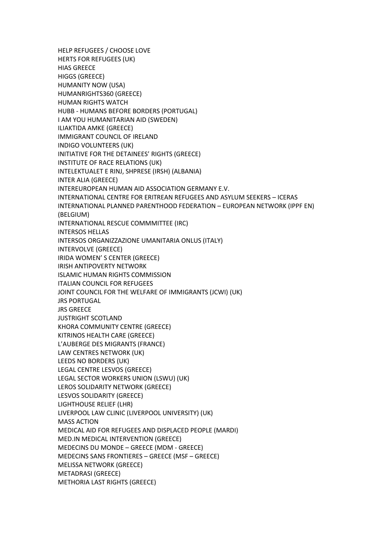HELP REFUGEES / CHOOSE LOVE HERTS FOR REFUGEES (UK) ΗΙΑS GREECE HIGGS (GREECE) HUMANITY NOW (USA) HUMANRIGHTS360 (GREECE) HUMAN RIGHTS WATCH HUBB - HUMANS BEFORE BORDERS (PORTUGAL) I AM YOU HUMANITARIAN AID (SWEDEN) ILIAKTIDA AMKE (GREECE) IMMIGRANT COUNCIL OF IRELAND INDIGO VOLUNTEERS (UK) INITIATIVE FOR THE DETAINEES' RIGHTS (GREECE) INSTITUTE OF RACE RELATIONS (UK) INTELEKTUALET E RINJ, SHPRESE (IRSH) (ALBANIA) INTER ALIA (GREECE) INTEREUROPEAN HUMAN AID ASSOCIATION GERMANY E.V. INTERNATIONAL CENTRE FOR ERITREAN REFUGEES AND ASYLUM SEEKERS – ICERAS INTERNATIONAL PLANNED PARENTHOOD FEDERATION – EUROPEAN NETWORK (IPPF EN) (BELGIUM) INTERNATIONAL RESCUE COMMMITTEE (IRC) INTERSOS HELLAS INTERSOS ORGANIZZAZIONE UMANITARIA ONLUS (ITALY) INTERVOLVE (GREECE) IRIDA WOMEN' S CENTER (GREECE) IRISH ANTIPOVERTY NETWORK ISLAMIC HUMAN RIGHTS COMMISSION ITALIAN COUNCIL FOR REFUGEES JOINT COUNCIL FOR THE WELFARE OF IMMIGRANTS (JCWI) (UK) JRS PORTUGAL JRS GREECE JUSTRIGHT SCOTLAND KHORA COMMUNITY CENTRE (GREECE) KITRINOS HEALTH CARE (GREECE) L'AUBERGE DES MIGRANTS (FRANCE) LAW CENTRES NETWORK (UK) LEEDS NO BORDERS (UK) LEGAL CENTRE LESVOS (GREECE) LEGAL SECTOR WORKERS UNION (LSWU) (UK) LEROS SOLIDARITY NETWORK (GREECE) LESVOS SOLIDARITY (GREECE) LIGHTHOUSE RELIEF (LHR) LIVERPOOL LAW CLINIC (LIVERPOOL UNIVERSITY) (UK) MASS ACTION MEDICAL AID FOR REFUGEES AND DISPLACED PEOPLE (MARDI) MED.IN MEDICAL INTERVENTION (GREECE) MEDECINS DU MONDE – GREECE (MDM - GREECE) MEDECINS SANS FRONTIERES – GREECE (MSF – GREECE) MELISSA NETWORK (GREECE) ΜΕΤΑDRASI (GREECE) METHORIA LAST RIGHTS (GREECE)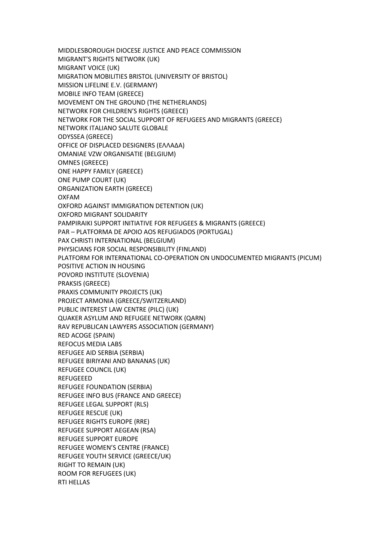MIDDLESBOROUGH DIOCESE JUSTICE AND PEACE COMMISSION MIGRANT'S RIGHTS NETWORK (UK) MIGRANT VOICE (UK) MIGRATION MOBILITIES BRISTOL (UNIVERSITY OF BRISTOL) MISSION LIFELINE E.V. (GERMANY) MOBILE INFO TEAM (GREECE) MOVEMENT ON THE GROUND (THE NETHERLANDS) NETWORK FOR CHILDREN'S RIGHTS (GREECE) NETWORK FOR THE SOCIAL SUPPORT OF REFUGEES AND MIGRANTS (GREECE) NETWORK ITALIANO SALUTE GLOBALE ODYSSEA (GREECE) OFFICE OF DISPLACED DESIGNERS (ΕΛΛΑΔΑ) OMANIAE VZW ORGANISATIE (BELGIUM) OMNES (GREECE) ONE HAPPY FAMILY (GREECE) ONE PUMP COURT (UK) ORGANIZATION EARTH (GREECE) OXFAM OXFORD AGAINST IMMIGRATION DETENTION (UK) OXFORD MIGRANT SOLIDARITY PAMPIRAIKI SUPPORT INITIATIVE FOR REFUGEES & MIGRANTS (GREECE) PAR – PLATFORMA DE APOIO AOS REFUGIADOS (PORTUGAL) PAX CHRISTI INTERNATIONAL (BELGIUM) PHYSICIANS FOR SOCIAL RESPONSIBILITY (FINLAND) PLATFORM FOR INTERNATIONAL CO-OPERATION ON UNDOCUMENTED MIGRANTS (PICUM) POSITIVE ACTION IN HOUSING POVORD INSTITUTE (SLOVENIA) PRAKSIS (GREECE) PRAXIS COMMUNITY PROJECTS (UK) PROJECT ARMONIA (GREECE/SWITZERLAND) PUBLIC INTEREST LAW CENTRE (PILC) (UK) QUAKER ASYLUM AND REFUGEE NETWORK (QARN) RAV REPUBLICAN LAWYERS ASSOCIATION (GERMANY) RED ACOGE (SPAIN) REFOCUS MEDIA LABS REFUGEE AID SERBIA (SERBIA) REFUGEE BIRIYANI AND BANANAS (UK) REFUGEE COUNCIL (UK) REFUGEEED REFUGEE FOUNDATION (SERBIA) REFUGEE INFO BUS (FRANCE AND GREECE) REFUGEE LEGAL SUPPORT (RLS) REFUGEE RESCUE (UK) REFUGEE RIGHTS EUROPE (RRE) REFUGEE SUPPORT AEGEAN (RSA) REFUGEE SUPPORT EUROPE REFUGEE WOMEN'S CENTRE (FRANCE) REFUGEE YOUTH SERVICE (GREECE/UK) RIGHT TO REMAIN (UK) ROOM FOR REFUGEES (UK) RTI HELLAS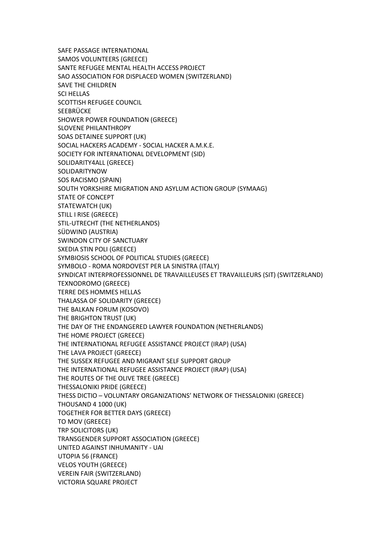SAFE PASSAGE INTERNATIONAL SAMOS VOLUNTEERS (GREECE) SANTE REFUGEE MENTAL HEALTH ACCESS PROJECT SAO ASSOCIATION FOR DISPLACED WOMEN (SWITZERLAND) SAVE THE CHILDREN SCI HELLAS SCOTTISH REFUGEE COUNCIL **SEEBRÜCKE** SHOWER POWER FOUNDATION (GREECE) SLOVENE PHILANTHROPY SOAS DETAINEE SUPPORT (UK) SOCIAL HACKERS ACADEMY - SOCIAL HACKER A.M.K.E. SOCIETY FOR INTERNATIONAL DEVELOPMENT (SID) SOLIDARITY4ALL (GREECE) SOLIDARITYNOW SOS RACISMO (SPAIN) SOUTH YORKSHIRE MIGRATION AND ASYLUM ACTION GROUP (SYMAAG) STATE OF CONCEPT STATEWATCH (UK) STILL I RISE (GREECE) STIL-UTRECHT (THE NETHERLANDS) SÜDWIND (AUSTRIA) SWINDON CITY OF SANCTUARY SXEDIA STIN POLI (GREECE) SYMBIOSIS SCHOOL OF POLITICAL STUDIES (GREECE) SYMBOLO - ROMA NORDOVEST PER LA SINISTRA (ITALY) SYNDICAT INTERPROFESSIONNEL DE TRAVAILLEUSES ET TRAVAILLEURS (SIT) (SWITZERLAND) TEXNODROMO (GREECE) TERRE DES HOMMES HELLAS THALASSA OF SOLIDARITY (GREECE) THE BALKAN FORUM (KOSOVO) THE BRIGHTON TRUST (UK) THE DAY OF THE ENDANGERED LAWYER FOUNDATION (NETHERLANDS) THE HOME PROJECT (GREECE) THE INTERNATIONAL REFUGEE ASSISTANCE PROJECT (IRAP) (USA) THE LAVA PROJECT (GREECE) THE SUSSEX REFUGEE AND MIGRANT SELF SUPPORT GROUP THE INTERNATIONAL REFUGEE ASSISTANCE PROJECT (IRAP) (USA) THE ROUTES OF THE OLIVE TREE (GREECE) THESSALONIKI PRIDE (GREECE) ΤHESS DICTIO – VOLUNTARY ORGANIZATIONS' NETWORK OF THESSALONIKI (GREECE) THOUSAND 4 1000 (UK) TOGETHER FOR BETTER DAYS (GREECE) TO MOV (GREECE) TRP SOLICITORS (UK) TRANSGENDER SUPPORT ASSOCIATION (GREECE) UNITED AGAINST INHUMANITY - UAI UTOPIA 56 (FRANCE) VELOS YOUTH (GREECE) VEREIN FAIR (SWITZERLAND) VICTORIA SQUARE PROJECT